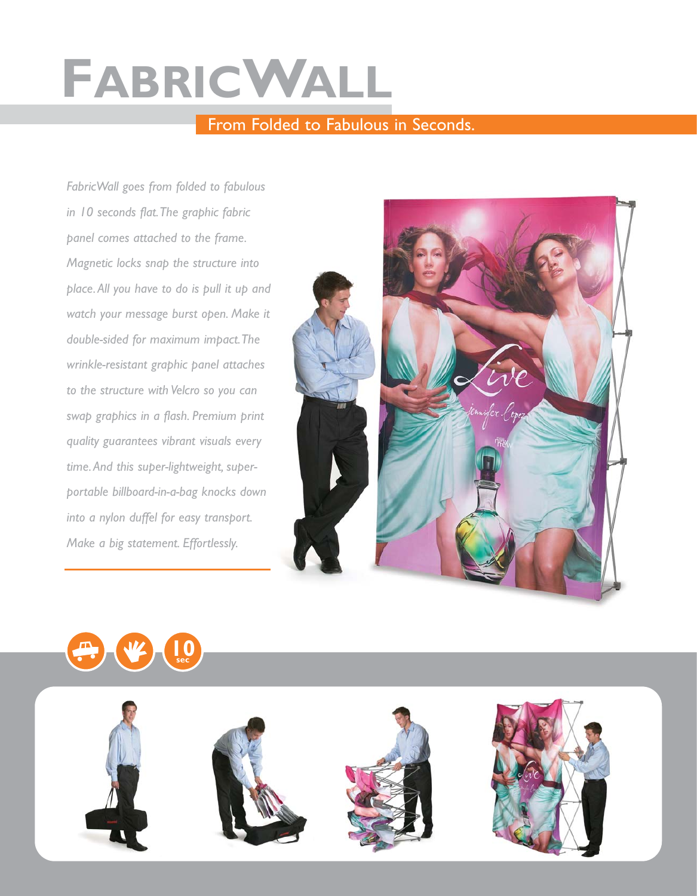## **FABRICWALL**

## From Folded to Fabulous in Seconds.

*FabricWall goes from folded to fabulous in 10 seconds flat.The graphic fabric panel comes attached to the frame. Magnetic locks snap the structure into place.All you have to do is pull it up and watch your message burst open. Make it double-sided for maximum impact.The wrinkle-resistant graphic panel attaches to the structure with Velcro so you can swap graphics in a flash. Premium print quality guarantees vibrant visuals every time.And this super-lightweight, superportable billboard-in-a-bag knocks down into a nylon duffel for easy transport. Make a big statement. Effortlessly.*